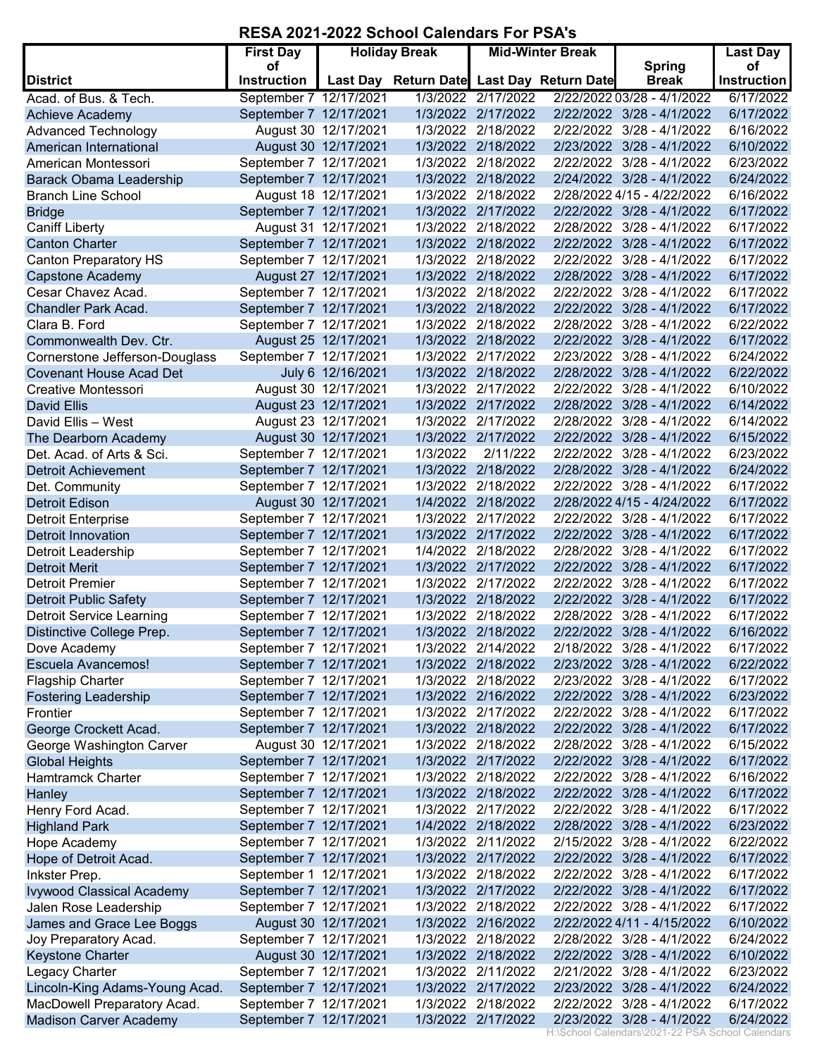## **RESA 2021-2022 School Calendars For PSA's**

|                                  | <b>First Day</b>         |                      | <b>Holiday Break</b>                      |                    | <b>Mid-Winter Break</b> |                               | Last Day                 |
|----------------------------------|--------------------------|----------------------|-------------------------------------------|--------------------|-------------------------|-------------------------------|--------------------------|
| <b>District</b>                  | οf<br><b>Instruction</b> |                      | Last Day Return Date Last Day Return Date |                    |                         | <b>Spring</b><br><b>Break</b> | οf<br><b>Instruction</b> |
| Acad. of Bus. & Tech.            | September 7 12/17/2021   |                      |                                           | 1/3/2022 2/17/2022 |                         | 2/22/2022 03/28 - 4/1/2022    | 6/17/2022                |
| Achieve Academy                  | September 7 12/17/2021   |                      |                                           | 1/3/2022 2/17/2022 |                         | 2/22/2022 3/28 - 4/1/2022     | 6/17/2022                |
| <b>Advanced Technology</b>       |                          | August 30 12/17/2021 |                                           | 1/3/2022 2/18/2022 |                         | 2/22/2022 3/28 - 4/1/2022     | 6/16/2022                |
| American International           |                          | August 30 12/17/2021 |                                           | 1/3/2022 2/18/2022 |                         | 2/23/2022 3/28 - 4/1/2022     | 6/10/2022                |
| American Montessori              | September 7 12/17/2021   |                      |                                           | 1/3/2022 2/18/2022 |                         | 2/22/2022 3/28 - 4/1/2022     | 6/23/2022                |
| <b>Barack Obama Leadership</b>   | September 7 12/17/2021   |                      |                                           | 1/3/2022 2/18/2022 |                         | 2/24/2022 3/28 - 4/1/2022     | 6/24/2022                |
| <b>Branch Line School</b>        |                          | August 18 12/17/2021 |                                           | 1/3/2022 2/18/2022 |                         | 2/28/2022 4/15 - 4/22/2022    | 6/16/2022                |
| <b>Bridge</b>                    | September 7 12/17/2021   |                      |                                           | 1/3/2022 2/17/2022 |                         | 2/22/2022 3/28 - 4/1/2022     | 6/17/2022                |
| <b>Caniff Liberty</b>            |                          | August 31 12/17/2021 |                                           | 1/3/2022 2/18/2022 | 2/28/2022               | 3/28 - 4/1/2022               | 6/17/2022                |
| <b>Canton Charter</b>            | September 7 12/17/2021   |                      |                                           | 1/3/2022 2/18/2022 |                         | 2/22/2022 3/28 - 4/1/2022     | 6/17/2022                |
| <b>Canton Preparatory HS</b>     | September 7 12/17/2021   |                      |                                           | 1/3/2022 2/18/2022 | 2/22/2022               | $3/28 - 4/1/2022$             | 6/17/2022                |
| <b>Capstone Academy</b>          |                          | August 27 12/17/2021 |                                           | 1/3/2022 2/18/2022 |                         | 2/28/2022 3/28 - 4/1/2022     | 6/17/2022                |
| Cesar Chavez Acad.               | September 7 12/17/2021   |                      |                                           | 1/3/2022 2/18/2022 | 2/22/2022               | $3/28 - 4/1/2022$             | 6/17/2022                |
| <b>Chandler Park Acad.</b>       | September 7 12/17/2021   |                      |                                           | 1/3/2022 2/18/2022 |                         | 2/22/2022 3/28 - 4/1/2022     | 6/17/2022                |
| Clara B. Ford                    | September 7 12/17/2021   |                      |                                           | 1/3/2022 2/18/2022 |                         | 2/28/2022 3/28 - 4/1/2022     | 6/22/2022                |
| Commonwealth Dev. Ctr.           |                          | August 25 12/17/2021 |                                           | 1/3/2022 2/18/2022 |                         | 2/22/2022 3/28 - 4/1/2022     | 6/17/2022                |
| Cornerstone Jefferson-Douglass   | September 7 12/17/2021   |                      |                                           | 1/3/2022 2/17/2022 |                         | 2/23/2022 3/28 - 4/1/2022     | 6/24/2022                |
| <b>Covenant House Acad Det</b>   |                          | July 6 12/16/2021    |                                           | 1/3/2022 2/18/2022 |                         | 2/28/2022 3/28 - 4/1/2022     | 6/22/2022                |
| Creative Montessori              |                          | August 30 12/17/2021 |                                           | 1/3/2022 2/17/2022 |                         | 2/22/2022 3/28 - 4/1/2022     | 6/10/2022                |
| <b>David Ellis</b>               |                          | August 23 12/17/2021 |                                           | 1/3/2022 2/17/2022 |                         | 2/28/2022 3/28 - 4/1/2022     | 6/14/2022                |
| David Ellis - West               |                          | August 23 12/17/2021 |                                           | 1/3/2022 2/17/2022 |                         | 2/28/2022 3/28 - 4/1/2022     | 6/14/2022                |
| The Dearborn Academy             |                          | August 30 12/17/2021 |                                           | 1/3/2022 2/17/2022 |                         | 2/22/2022 3/28 - 4/1/2022     | 6/15/2022                |
| Det. Acad. of Arts & Sci.        | September 7 12/17/2021   |                      | 1/3/2022                                  | 2/11/222           |                         | 2/22/2022 3/28 - 4/1/2022     | 6/23/2022                |
| <b>Detroit Achievement</b>       | September 7 12/17/2021   |                      |                                           | 1/3/2022 2/18/2022 |                         | 2/28/2022 3/28 - 4/1/2022     | 6/24/2022                |
| Det. Community                   | September 7 12/17/2021   |                      |                                           | 1/3/2022 2/18/2022 |                         | 2/22/2022 3/28 - 4/1/2022     | 6/17/2022                |
| <b>Detroit Edison</b>            |                          | August 30 12/17/2021 |                                           | 1/4/2022 2/18/2022 |                         | 2/28/2022 4/15 - 4/24/2022    | 6/17/2022                |
| <b>Detroit Enterprise</b>        | September 7 12/17/2021   |                      |                                           | 1/3/2022 2/17/2022 |                         | 2/22/2022 3/28 - 4/1/2022     | 6/17/2022                |
| <b>Detroit Innovation</b>        | September 7 12/17/2021   |                      |                                           | 1/3/2022 2/17/2022 |                         | 2/22/2022 3/28 - 4/1/2022     | 6/17/2022                |
| Detroit Leadership               | September 7 12/17/2021   |                      |                                           | 1/4/2022 2/18/2022 |                         | 2/28/2022 3/28 - 4/1/2022     | 6/17/2022                |
| <b>Detroit Merit</b>             | September 7 12/17/2021   |                      |                                           | 1/3/2022 2/17/2022 |                         | 2/22/2022 3/28 - 4/1/2022     | 6/17/2022                |
| <b>Detroit Premier</b>           | September 7 12/17/2021   |                      |                                           | 1/3/2022 2/17/2022 |                         | 2/22/2022 3/28 - 4/1/2022     | 6/17/2022                |
| <b>Detroit Public Safety</b>     | September 7 12/17/2021   |                      |                                           | 1/3/2022 2/18/2022 |                         | 2/22/2022 3/28 - 4/1/2022     | 6/17/2022                |
| <b>Detroit Service Learning</b>  | September 7 12/17/2021   |                      |                                           | 1/3/2022 2/18/2022 |                         | 2/28/2022 3/28 - 4/1/2022     | 6/17/2022                |
| Distinctive College Prep.        | September 7 12/17/2021   |                      |                                           | 1/3/2022 2/18/2022 |                         | 2/22/2022 3/28 - 4/1/2022     | 6/16/2022                |
| Dove Academy                     | September 7 12/17/2021   |                      |                                           | 1/3/2022 2/14/2022 |                         | 2/18/2022 3/28 - 4/1/2022     | 6/17/2022                |
| <b>Escuela Avancemos!</b>        | September 7 12/17/2021   |                      |                                           | 1/3/2022 2/18/2022 |                         | 2/23/2022 3/28 - 4/1/2022     | 6/22/2022                |
| <b>Flagship Charter</b>          | September 7 12/17/2021   |                      |                                           | 1/3/2022 2/18/2022 |                         | 2/23/2022 3/28 - 4/1/2022     | 6/17/2022                |
| <b>Fostering Leadership</b>      | September 7 12/17/2021   |                      |                                           | 1/3/2022 2/16/2022 |                         | 2/22/2022 3/28 - 4/1/2022     | 6/23/2022                |
| Frontier                         | September 7 12/17/2021   |                      |                                           | 1/3/2022 2/17/2022 |                         | 2/22/2022 3/28 - 4/1/2022     | 6/17/2022                |
| George Crockett Acad.            | September 7 12/17/2021   |                      |                                           | 1/3/2022 2/18/2022 |                         | 2/22/2022 3/28 - 4/1/2022     | 6/17/2022                |
| George Washington Carver         |                          | August 30 12/17/2021 |                                           | 1/3/2022 2/18/2022 |                         | 2/28/2022 3/28 - 4/1/2022     | 6/15/2022                |
| <b>Global Heights</b>            | September 7 12/17/2021   |                      |                                           | 1/3/2022 2/17/2022 |                         | 2/22/2022 3/28 - 4/1/2022     | 6/17/2022                |
| <b>Hamtramck Charter</b>         | September 7 12/17/2021   |                      |                                           | 1/3/2022 2/18/2022 |                         | 2/22/2022 3/28 - 4/1/2022     | 6/16/2022                |
| Hanley                           | September 7 12/17/2021   |                      |                                           | 1/3/2022 2/18/2022 |                         | 2/22/2022 3/28 - 4/1/2022     | 6/17/2022                |
| Henry Ford Acad.                 | September 7 12/17/2021   |                      |                                           | 1/3/2022 2/17/2022 |                         | 2/22/2022 3/28 - 4/1/2022     | 6/17/2022                |
| <b>Highland Park</b>             | September 7 12/17/2021   |                      |                                           | 1/4/2022 2/18/2022 |                         | 2/28/2022 3/28 - 4/1/2022     | 6/23/2022                |
| Hope Academy                     | September 7 12/17/2021   |                      |                                           | 1/3/2022 2/11/2022 |                         | 2/15/2022 3/28 - 4/1/2022     | 6/22/2022                |
| Hope of Detroit Acad.            | September 7 12/17/2021   |                      |                                           | 1/3/2022 2/17/2022 |                         | 2/22/2022 3/28 - 4/1/2022     | 6/17/2022                |
| Inkster Prep.                    | September 1 12/17/2021   |                      |                                           | 1/3/2022 2/18/2022 |                         | 2/22/2022 3/28 - 4/1/2022     | 6/17/2022                |
| <b>Ivywood Classical Academy</b> | September 7 12/17/2021   |                      |                                           | 1/3/2022 2/17/2022 |                         | 2/22/2022 3/28 - 4/1/2022     | 6/17/2022                |
| Jalen Rose Leadership            | September 7 12/17/2021   |                      |                                           | 1/3/2022 2/18/2022 |                         | 2/22/2022 3/28 - 4/1/2022     | 6/17/2022                |
| James and Grace Lee Boggs        |                          | August 30 12/17/2021 |                                           | 1/3/2022 2/16/2022 |                         | 2/22/2022 4/11 - 4/15/2022    | 6/10/2022                |
| Joy Preparatory Acad.            | September 7 12/17/2021   |                      |                                           | 1/3/2022 2/18/2022 |                         | 2/28/2022 3/28 - 4/1/2022     | 6/24/2022                |
| <b>Keystone Charter</b>          |                          | August 30 12/17/2021 |                                           | 1/3/2022 2/18/2022 |                         | 2/22/2022 3/28 - 4/1/2022     | 6/10/2022                |
| Legacy Charter                   | September 7 12/17/2021   |                      |                                           | 1/3/2022 2/11/2022 |                         | 2/21/2022 3/28 - 4/1/2022     | 6/23/2022                |
| Lincoln-King Adams-Young Acad.   | September 7 12/17/2021   |                      |                                           | 1/3/2022 2/17/2022 |                         | 2/23/2022 3/28 - 4/1/2022     | 6/24/2022                |
| MacDowell Preparatory Acad.      | September 7 12/17/2021   |                      |                                           | 1/3/2022 2/18/2022 |                         | 2/22/2022 3/28 - 4/1/2022     | 6/17/2022                |
| <b>Madison Carver Academy</b>    | September 7 12/17/2021   |                      |                                           | 1/3/2022 2/17/2022 |                         | 2/23/2022 3/28 - 4/1/2022     | 6/24/2022                |

H:\School Calendars\2021-22 PSA School Calendars